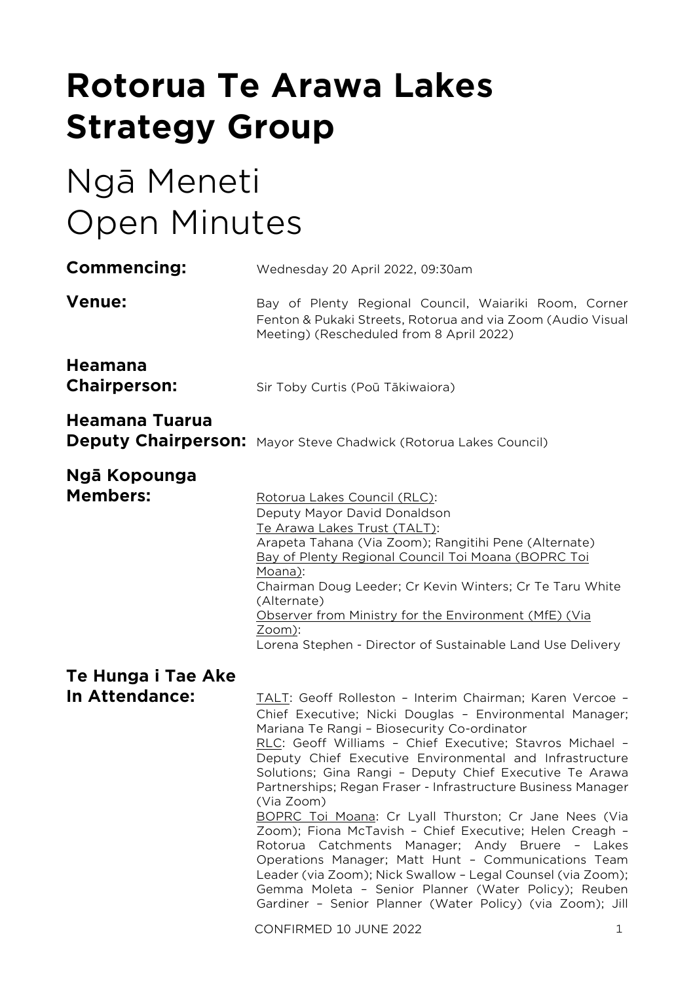# **Rotorua Te Arawa Lakes Strategy Group**

# Ngā Meneti Open Minutes

| Commencing:                           | Wednesday 20 April 2022, 09:30am                                                                                                                                                                                                                                                                                                                                                                                                                                                                                                                                                                                                                                                                                                                                                                                                                                                    |  |  |
|---------------------------------------|-------------------------------------------------------------------------------------------------------------------------------------------------------------------------------------------------------------------------------------------------------------------------------------------------------------------------------------------------------------------------------------------------------------------------------------------------------------------------------------------------------------------------------------------------------------------------------------------------------------------------------------------------------------------------------------------------------------------------------------------------------------------------------------------------------------------------------------------------------------------------------------|--|--|
| <b>Venue:</b>                         | Bay of Plenty Regional Council, Waiariki Room, Corner<br>Fenton & Pukaki Streets, Rotorua and via Zoom (Audio Visual<br>Meeting) (Rescheduled from 8 April 2022)                                                                                                                                                                                                                                                                                                                                                                                                                                                                                                                                                                                                                                                                                                                    |  |  |
| <b>Heamana</b><br><b>Chairperson:</b> | Sir Toby Curtis (Poū Tākiwaiora)                                                                                                                                                                                                                                                                                                                                                                                                                                                                                                                                                                                                                                                                                                                                                                                                                                                    |  |  |
| Heamana Tuarua                        | <b>Deputy Chairperson:</b> Mayor Steve Chadwick (Rotorua Lakes Council)                                                                                                                                                                                                                                                                                                                                                                                                                                                                                                                                                                                                                                                                                                                                                                                                             |  |  |
| Ngā Kopounga<br><b>Members:</b>       | Rotorua Lakes Council (RLC):<br>Deputy Mayor David Donaldson<br>Te Arawa Lakes Trust (TALT):<br>Arapeta Tahana (Via Zoom); Rangitihi Pene (Alternate)<br>Bay of Plenty Regional Council Toi Moana (BOPRC Toi<br>Moana):<br>Chairman Doug Leeder; Cr Kevin Winters; Cr Te Taru White<br>(Alternate)<br>Observer from Ministry for the Environment (MfE) (Via<br>Zoom):<br>Lorena Stephen - Director of Sustainable Land Use Delivery                                                                                                                                                                                                                                                                                                                                                                                                                                                 |  |  |
| Te Hunga i Tae Ake                    |                                                                                                                                                                                                                                                                                                                                                                                                                                                                                                                                                                                                                                                                                                                                                                                                                                                                                     |  |  |
| In Attendance:                        | TALT: Geoff Rolleston - Interim Chairman; Karen Vercoe -<br>Chief Executive; Nicki Douglas - Environmental Manager;<br>Mariana Te Rangi - Biosecurity Co-ordinator<br>RLC: Geoff Williams - Chief Executive; Stavros Michael -<br>Deputy Chief Executive Environmental and Infrastructure<br>Solutions; Gina Rangi - Deputy Chief Executive Te Arawa<br>Partnerships; Regan Fraser - Infrastructure Business Manager<br>(Via Zoom)<br>BOPRC Toi Moana: Cr Lyall Thurston; Cr Jane Nees (Via<br>Zoom); Fiona McTavish - Chief Executive; Helen Creagh -<br>Rotorua Catchments Manager; Andy Bruere - Lakes<br>Operations Manager; Matt Hunt - Communications Team<br>Leader (via Zoom); Nick Swallow - Legal Counsel (via Zoom);<br>Gemma Moleta - Senior Planner (Water Policy); Reuben<br>Gardiner - Senior Planner (Water Policy) (via Zoom); Jill<br>CONFIRMED 10 JUNE 2022<br>1 |  |  |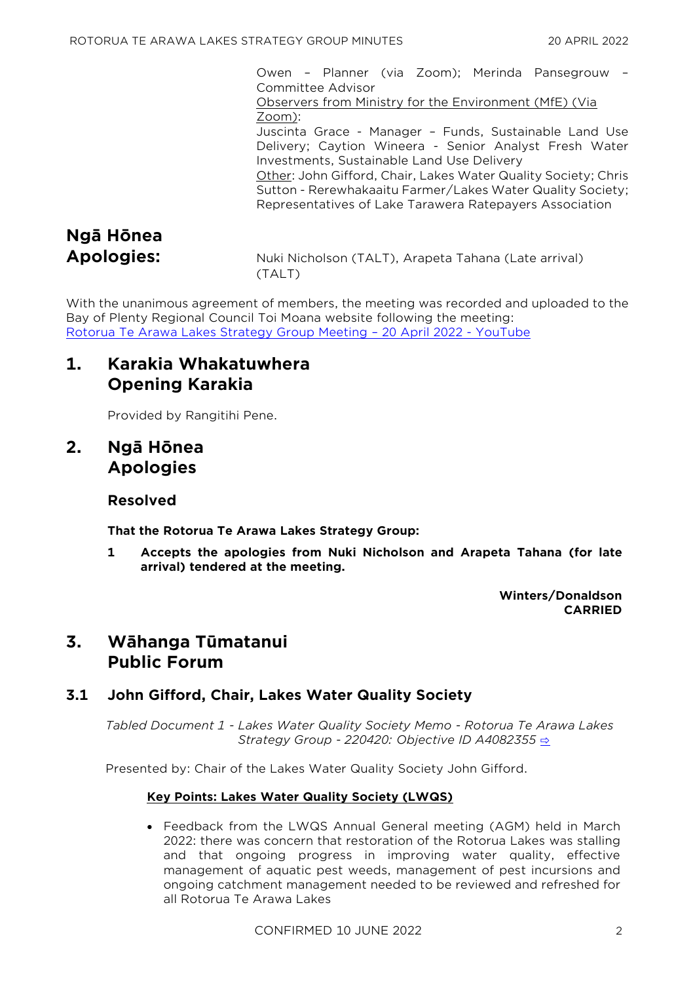Owen – Planner (via Zoom); Merinda Pansegrouw – Committee Advisor

Observers from Ministry for the Environment (MfE) (Via Zoom):

Juscinta Grace - Manager – Funds, Sustainable Land Use Delivery; Caytion Wineera - Senior Analyst Fresh Water Investments, Sustainable Land Use Delivery

Other: John Gifford, Chair, Lakes Water Quality Society; Chris Sutton - Rerewhakaaitu Farmer/Lakes Water Quality Society; Representatives of Lake Tarawera Ratepayers Association

# **Ngā Hōnea**

**Apologies:** Nuki Nicholson (TALT), Arapeta Tahana (Late arrival) (TALT)

With the unanimous agreement of members, the meeting was recorded and uploaded to the Bay of Plenty Regional Council Toi Moana website following the meeting: [Rotorua Te Arawa Lakes Strategy Group Meeting](https://www.youtube.com/watch?v=tzliZH47lT8) – 20 April 2022 - YouTube

# **1. Karakia Whakatuwhera Opening Karakia**

Provided by Rangitihi Pene.

# **2. Ngā Hōnea Apologies**

## **Resolved**

**That the Rotorua Te Arawa Lakes Strategy Group:**

**1 Accepts the apologies from Nuki Nicholson and Arapeta Tahana (for late arrival) tendered at the meeting.**

> **Winters/Donaldson CARRIED**

# **3. Wāhanga Tūmatanui Public Forum**

## **3.1 John Gifford, Chair, Lakes Water Quality Society**

*Tabled Document 1 - Lakes Water Quality Society Memo - Rotorua Te Arawa Lakes Strategy Group - 220420: Objective ID A4082355* [⇨](../../../RedirectToInvalidFileName.aspx?FileName=RTAL_20220420_MAT_3539.PDF#PAGE=2)

Presented by: Chair of the Lakes Water Quality Society John Gifford.

## **Key Points: Lakes Water Quality Society (LWQS)**

• Feedback from the LWQS Annual General meeting (AGM) held in March 2022: there was concern that restoration of the Rotorua Lakes was stalling and that ongoing progress in improving water quality, effective management of aquatic pest weeds, management of pest incursions and ongoing catchment management needed to be reviewed and refreshed for all Rotorua Te Arawa Lakes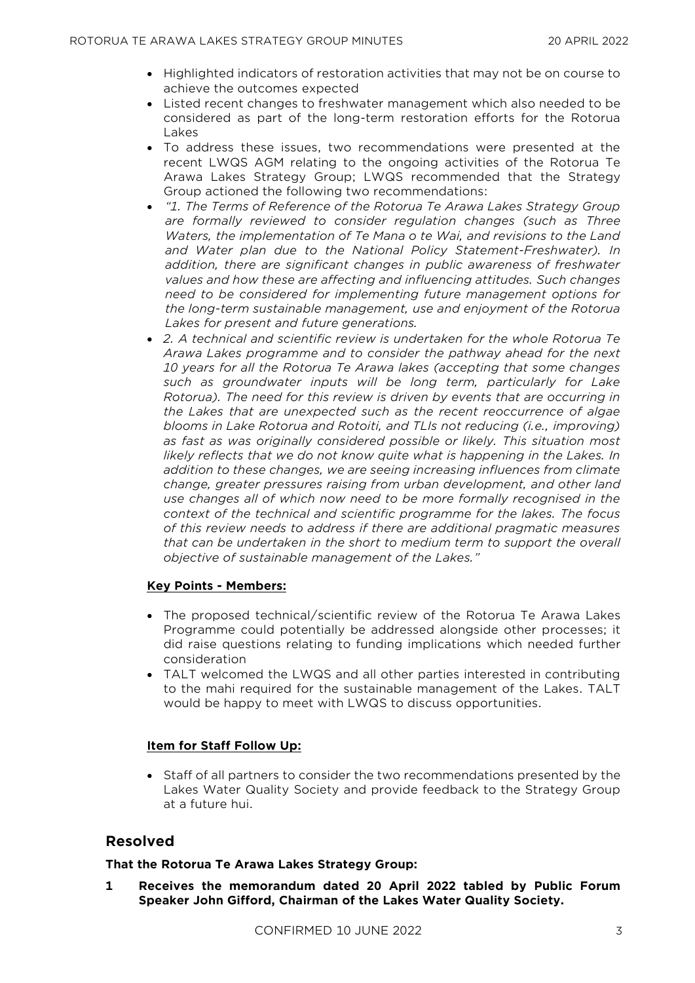- Highlighted indicators of restoration activities that may not be on course to achieve the outcomes expected
- Listed recent changes to freshwater management which also needed to be considered as part of the long-term restoration efforts for the Rotorua Lakes
- To address these issues, two recommendations were presented at the recent LWQS AGM relating to the ongoing activities of the Rotorua Te Arawa Lakes Strategy Group; LWQS recommended that the Strategy Group actioned the following two recommendations:
- *"1. The Terms of Reference of the Rotorua Te Arawa Lakes Strategy Group are formally reviewed to consider regulation changes (such as Three Waters, the implementation of Te Mana o te Wai, and revisions to the Land and Water plan due to the National Policy Statement-Freshwater). In addition, there are significant changes in public awareness of freshwater values and how these are affecting and influencing attitudes. Such changes need to be considered for implementing future management options for the long-term sustainable management, use and enjoyment of the Rotorua Lakes for present and future generations.*
- *2. A technical and scientific review is undertaken for the whole Rotorua Te Arawa Lakes programme and to consider the pathway ahead for the next 10 years for all the Rotorua Te Arawa lakes (accepting that some changes such as groundwater inputs will be long term, particularly for Lake Rotorua). The need for this review is driven by events that are occurring in the Lakes that are unexpected such as the recent reoccurrence of algae blooms in Lake Rotorua and Rotoiti, and TLIs not reducing (i.e., improving) as fast as was originally considered possible or likely. This situation most likely reflects that we do not know quite what is happening in the Lakes. In addition to these changes, we are seeing increasing influences from climate change, greater pressures raising from urban development, and other land use changes all of which now need to be more formally recognised in the context of the technical and scientific programme for the lakes. The focus of this review needs to address if there are additional pragmatic measures that can be undertaken in the short to medium term to support the overall objective of sustainable management of the Lakes."*

#### **Key Points - Members:**

- The proposed technical/scientific review of the Rotorua Te Arawa Lakes Programme could potentially be addressed alongside other processes; it did raise questions relating to funding implications which needed further consideration
- TALT welcomed the LWQS and all other parties interested in contributing to the mahi required for the sustainable management of the Lakes. TALT would be happy to meet with LWQS to discuss opportunities.

## **Item for Staff Follow Up:**

• Staff of all partners to consider the two recommendations presented by the Lakes Water Quality Society and provide feedback to the Strategy Group at a future hui.

## **Resolved**

#### **That the Rotorua Te Arawa Lakes Strategy Group:**

**1 Receives the memorandum dated 20 April 2022 tabled by Public Forum Speaker John Gifford, Chairman of the Lakes Water Quality Society.**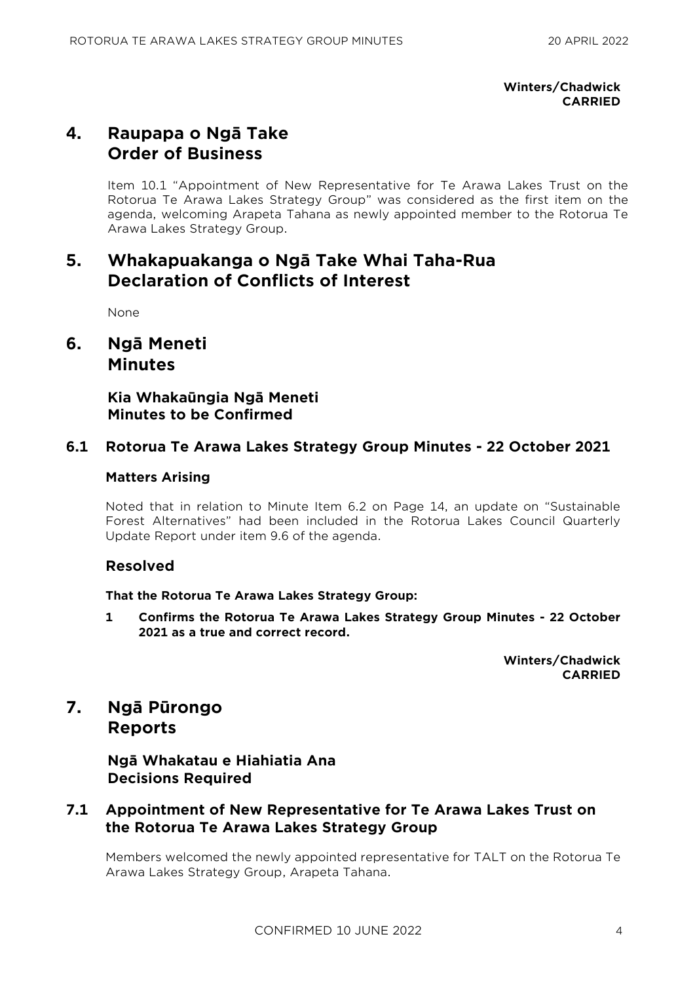**Winters/Chadwick CARRIED**

# **4. Raupapa o Ngā Take Order of Business**

Item 10.1 "Appointment of New Representative for Te Arawa Lakes Trust on the Rotorua Te Arawa Lakes Strategy Group" was considered as the first item on the agenda, welcoming Arapeta Tahana as newly appointed member to the Rotorua Te Arawa Lakes Strategy Group.

# **5. Whakapuakanga o Ngā Take Whai Taha-Rua Declaration of Conflicts of Interest**

None

**6. Ngā Meneti Minutes**

> **Kia Whakaūngia Ngā Meneti Minutes to be Confirmed**

## **6.1 Rotorua Te Arawa Lakes Strategy Group Minutes - 22 October 2021**

## **Matters Arising**

Noted that in relation to Minute Item 6.2 on Page 14, an update on "Sustainable Forest Alternatives" had been included in the Rotorua Lakes Council Quarterly Update Report under item 9.6 of the agenda.

## **Resolved**

## **That the Rotorua Te Arawa Lakes Strategy Group:**

**1 Confirms the Rotorua Te Arawa Lakes Strategy Group Minutes - 22 October 2021 as a true and correct record.**

> **Winters/Chadwick CARRIED**

## **7. Ngā Pūrongo Reports**

**Ngā Whakatau e Hiahiatia Ana Decisions Required**

## **7.1 Appointment of New Representative for Te Arawa Lakes Trust on the Rotorua Te Arawa Lakes Strategy Group**

Members welcomed the newly appointed representative for TALT on the Rotorua Te Arawa Lakes Strategy Group, Arapeta Tahana.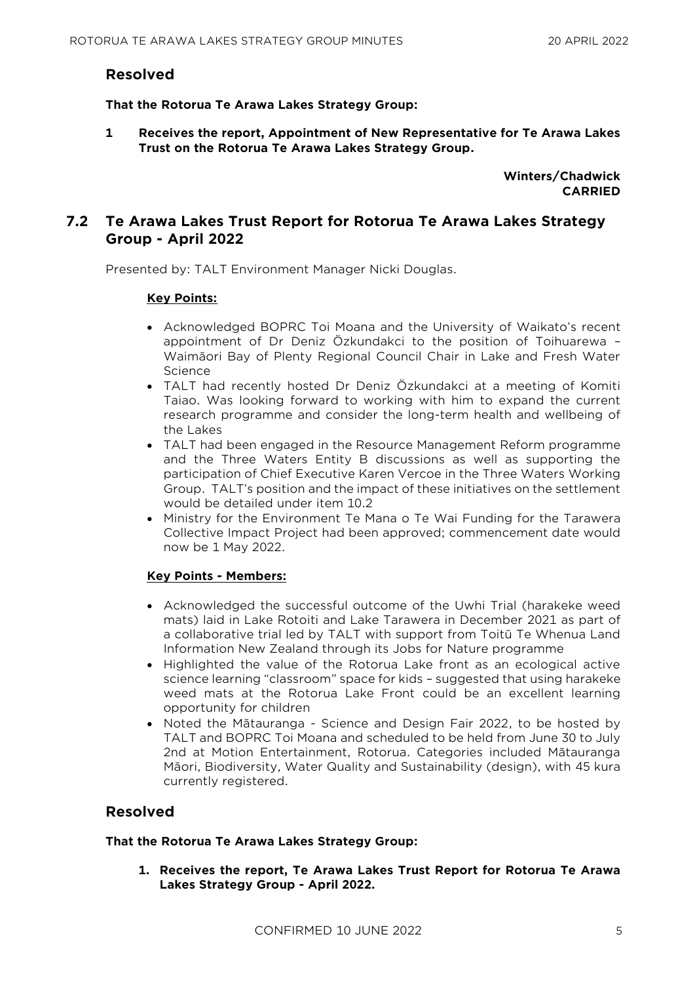## **Resolved**

**That the Rotorua Te Arawa Lakes Strategy Group:**

**1 Receives the report, Appointment of New Representative for Te Arawa Lakes Trust on the Rotorua Te Arawa Lakes Strategy Group.**

> **Winters/Chadwick CARRIED**

## **7.2 Te Arawa Lakes Trust Report for Rotorua Te Arawa Lakes Strategy Group - April 2022**

Presented by: TALT Environment Manager Nicki Douglas.

### **Key Points:**

- Acknowledged BOPRC Toi Moana and the University of Waikato's recent appointment of Dr Deniz Özkundakci to the position of Toihuarewa – Waimāori Bay of Plenty Regional Council Chair in Lake and Fresh Water Science
- TALT had recently hosted Dr Deniz Özkundakci at a meeting of Komiti Taiao. Was looking forward to working with him to expand the current research programme and consider the long-term health and wellbeing of the Lakes
- TALT had been engaged in the Resource Management Reform programme and the Three Waters Entity B discussions as well as supporting the participation of Chief Executive Karen Vercoe in the Three Waters Working Group. TALT's position and the impact of these initiatives on the settlement would be detailed under item 10.2
- Ministry for the Environment Te Mana o Te Wai Funding for the Tarawera Collective Impact Project had been approved; commencement date would now be 1 May 2022.

## **Key Points - Members:**

- Acknowledged the successful outcome of the Uwhi Trial (harakeke weed mats) laid in Lake Rotoiti and Lake Tarawera in December 2021 as part of a collaborative trial led by TALT with support from Toitū Te Whenua Land Information New Zealand through its Jobs for Nature programme
- Highlighted the value of the Rotorua Lake front as an ecological active science learning "classroom" space for kids – suggested that using harakeke weed mats at the Rotorua Lake Front could be an excellent learning opportunity for children
- Noted the Mātauranga Science and Design Fair 2022, to be hosted by TALT and BOPRC Toi Moana and scheduled to be held from June 30 to July 2nd at Motion Entertainment, Rotorua. Categories included Mātauranga Māori, Biodiversity, Water Quality and Sustainability (design), with 45 kura currently registered.

## **Resolved**

#### **That the Rotorua Te Arawa Lakes Strategy Group:**

**1. Receives the report, Te Arawa Lakes Trust Report for Rotorua Te Arawa Lakes Strategy Group - April 2022.**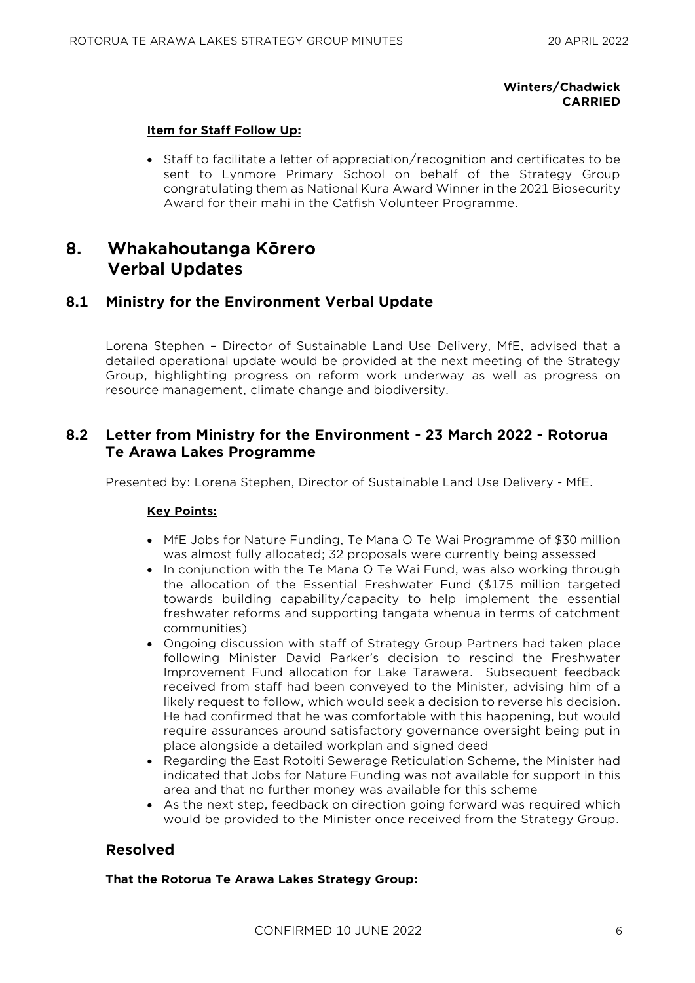## **Winters/Chadwick CARRIED**

### **Item for Staff Follow Up:**

• Staff to facilitate a letter of appreciation/recognition and certificates to be sent to Lynmore Primary School on behalf of the Strategy Group congratulating them as National Kura Award Winner in the 2021 Biosecurity Award for their mahi in the Catfish Volunteer Programme.

# **8. Whakahoutanga Kōrero Verbal Updates**

## **8.1 Ministry for the Environment Verbal Update**

Lorena Stephen – Director of Sustainable Land Use Delivery, MfE, advised that a detailed operational update would be provided at the next meeting of the Strategy Group, highlighting progress on reform work underway as well as progress on resource management, climate change and biodiversity.

## **8.2 Letter from Ministry for the Environment - 23 March 2022 - Rotorua Te Arawa Lakes Programme**

Presented by: Lorena Stephen, Director of Sustainable Land Use Delivery - MfE.

## **Key Points:**

- MfE Jobs for Nature Funding, Te Mana O Te Wai Programme of \$30 million was almost fully allocated; 32 proposals were currently being assessed
- In conjunction with the Te Mana O Te Wai Fund, was also working through the allocation of the Essential Freshwater Fund (\$175 million targeted towards building capability/capacity to help implement the essential freshwater reforms and supporting tangata whenua in terms of catchment communities)
- Ongoing discussion with staff of Strategy Group Partners had taken place following Minister David Parker's decision to rescind the Freshwater Improvement Fund allocation for Lake Tarawera. Subsequent feedback received from staff had been conveyed to the Minister, advising him of a likely request to follow, which would seek a decision to reverse his decision. He had confirmed that he was comfortable with this happening, but would require assurances around satisfactory governance oversight being put in place alongside a detailed workplan and signed deed
- Regarding the East Rotoiti Sewerage Reticulation Scheme, the Minister had indicated that Jobs for Nature Funding was not available for support in this area and that no further money was available for this scheme
- As the next step, feedback on direction going forward was required which would be provided to the Minister once received from the Strategy Group.

## **Resolved**

#### **That the Rotorua Te Arawa Lakes Strategy Group:**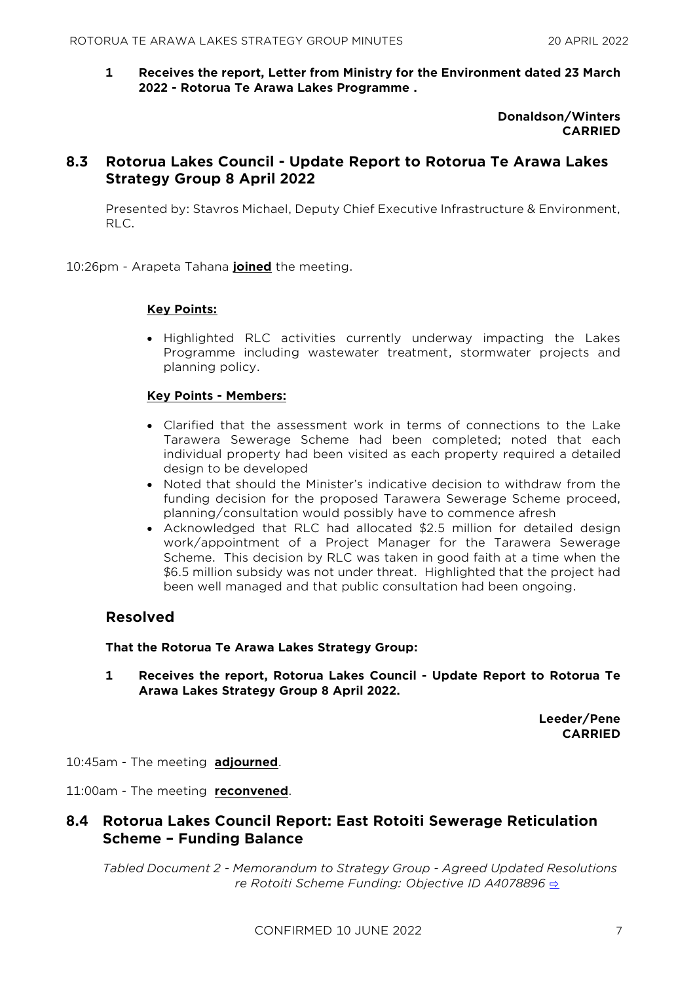**1 Receives the report, Letter from Ministry for the Environment dated 23 March 2022 - Rotorua Te Arawa Lakes Programme .**

> **Donaldson/Winters CARRIED**

## **8.3 Rotorua Lakes Council - Update Report to Rotorua Te Arawa Lakes Strategy Group 8 April 2022**

Presented by: Stavros Michael, Deputy Chief Executive Infrastructure & Environment, RLC.

10:26pm - Arapeta Tahana **joined** the meeting.

#### **Key Points:**

• Highlighted RLC activities currently underway impacting the Lakes Programme including wastewater treatment, stormwater projects and planning policy.

#### **Key Points - Members:**

- Clarified that the assessment work in terms of connections to the Lake Tarawera Sewerage Scheme had been completed; noted that each individual property had been visited as each property required a detailed design to be developed
- Noted that should the Minister's indicative decision to withdraw from the funding decision for the proposed Tarawera Sewerage Scheme proceed, planning/consultation would possibly have to commence afresh
- Acknowledged that RLC had allocated \$2.5 million for detailed design work/appointment of a Project Manager for the Tarawera Sewerage Scheme. This decision by RLC was taken in good faith at a time when the \$6.5 million subsidy was not under threat. Highlighted that the project had been well managed and that public consultation had been ongoing.

### **Resolved**

#### **That the Rotorua Te Arawa Lakes Strategy Group:**

**1 Receives the report, Rotorua Lakes Council - Update Report to Rotorua Te Arawa Lakes Strategy Group 8 April 2022.**

> **Leeder/Pene CARRIED**

10:45am - The meeting **adjourned**.

11:00am - The meeting **reconvened**.

## **8.4 Rotorua Lakes Council Report: East Rotoiti Sewerage Reticulation Scheme – Funding Balance**

*Tabled Document 2 - Memorandum to Strategy Group - Agreed Updated Resolutions re Rotoiti Scheme Funding: Objective ID A4078896 <u>⇒</u>*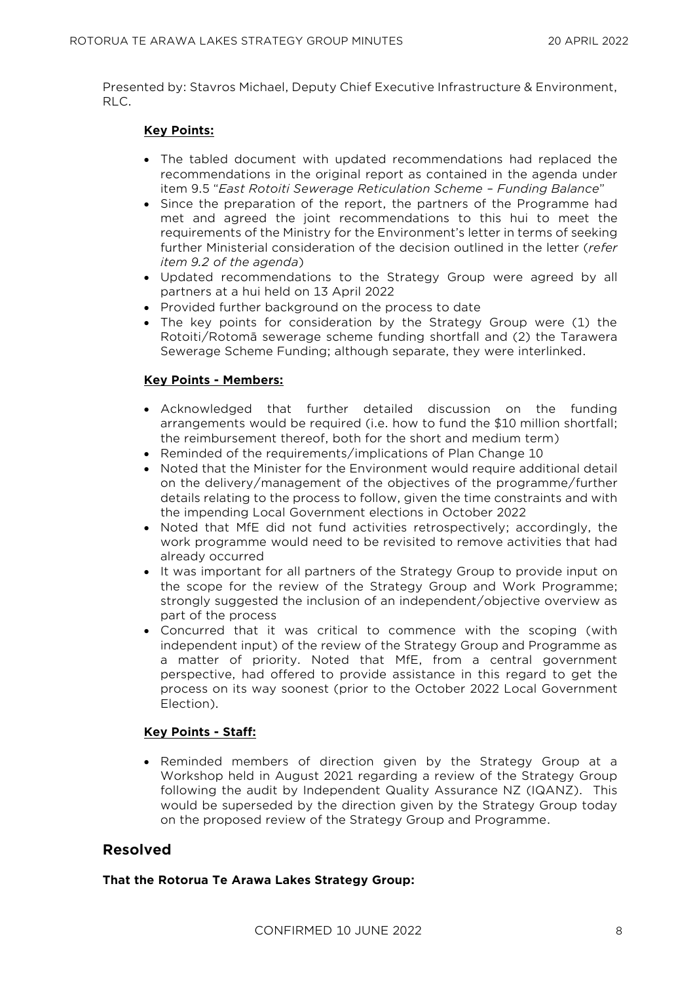Presented by: Stavros Michael, Deputy Chief Executive Infrastructure & Environment, RLC.

### **Key Points:**

- The tabled document with updated recommendations had replaced the recommendations in the original report as contained in the agenda under item 9.5 "*East Rotoiti Sewerage Reticulation Scheme – Funding Balance*"
- Since the preparation of the report, the partners of the Programme had met and agreed the joint recommendations to this hui to meet the requirements of the Ministry for the Environment's letter in terms of seeking further Ministerial consideration of the decision outlined in the letter (*refer item 9.2 of the agenda*)
- Updated recommendations to the Strategy Group were agreed by all partners at a hui held on 13 April 2022
- Provided further background on the process to date
- The key points for consideration by the Strategy Group were (1) the Rotoiti/Rotomā sewerage scheme funding shortfall and (2) the Tarawera Sewerage Scheme Funding; although separate, they were interlinked.

### **Key Points - Members:**

- Acknowledged that further detailed discussion on the funding arrangements would be required (i.e. how to fund the \$10 million shortfall; the reimbursement thereof, both for the short and medium term)
- Reminded of the requirements/implications of Plan Change 10
- Noted that the Minister for the Environment would require additional detail on the delivery/management of the objectives of the programme/further details relating to the process to follow, given the time constraints and with the impending Local Government elections in October 2022
- Noted that MfE did not fund activities retrospectively; accordingly, the work programme would need to be revisited to remove activities that had already occurred
- It was important for all partners of the Strategy Group to provide input on the scope for the review of the Strategy Group and Work Programme; strongly suggested the inclusion of an independent/objective overview as part of the process
- Concurred that it was critical to commence with the scoping (with independent input) of the review of the Strategy Group and Programme as a matter of priority. Noted that MfE, from a central government perspective, had offered to provide assistance in this regard to get the process on its way soonest (prior to the October 2022 Local Government Election).

#### **Key Points - Staff:**

• Reminded members of direction given by the Strategy Group at a Workshop held in August 2021 regarding a review of the Strategy Group following the audit by Independent Quality Assurance NZ (IQANZ). This would be superseded by the direction given by the Strategy Group today on the proposed review of the Strategy Group and Programme.

## **Resolved**

#### **That the Rotorua Te Arawa Lakes Strategy Group:**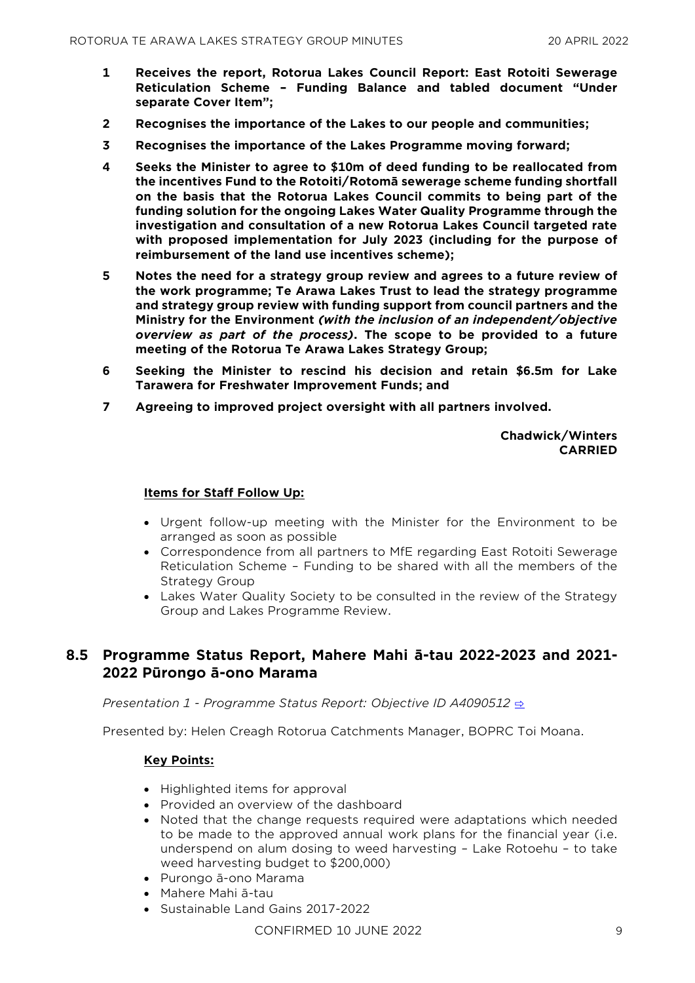- **1 Receives the report, Rotorua Lakes Council Report: East Rotoiti Sewerage Reticulation Scheme – Funding Balance and tabled document "Under separate Cover Item";**
- **2 Recognises the importance of the Lakes to our people and communities;**
- **3 Recognises the importance of the Lakes Programme moving forward;**
- **4 Seeks the Minister to agree to \$10m of deed funding to be reallocated from the incentives Fund to the Rotoiti/Rotomā sewerage scheme funding shortfall on the basis that the Rotorua Lakes Council commits to being part of the funding solution for the ongoing Lakes Water Quality Programme through the investigation and consultation of a new Rotorua Lakes Council targeted rate with proposed implementation for July 2023 (including for the purpose of reimbursement of the land use incentives scheme);**
- **5 Notes the need for a strategy group review and agrees to a future review of the work programme; Te Arawa Lakes Trust to lead the strategy programme and strategy group review with funding support from council partners and the Ministry for the Environment** *(with the inclusion of an independent/objective overview as part of the process)***. The scope to be provided to a future meeting of the Rotorua Te Arawa Lakes Strategy Group;**
- **6 Seeking the Minister to rescind his decision and retain \$6.5m for Lake Tarawera for Freshwater Improvement Funds; and**
- **7 Agreeing to improved project oversight with all partners involved.**

**Chadwick/Winters CARRIED**

#### **Items for Staff Follow Up:**

- Urgent follow-up meeting with the Minister for the Environment to be arranged as soon as possible
- Correspondence from all partners to MfE regarding East Rotoiti Sewerage Reticulation Scheme – Funding to be shared with all the members of the Strategy Group
- Lakes Water Quality Society to be consulted in the review of the Strategy Group and Lakes Programme Review.

## **8.5 Programme Status Report, Mahere Mahi ā-tau 2022-2023 and 2021- 2022 Pūrongo ā-ono Marama**

*Presentation 1 - Programme Status Report: Objective ID A4090512* [⇨](../../../RedirectToInvalidFileName.aspx?FileName=RTAL_20220420_MAT_3539.PDF#PAGE=6)

Presented by: Helen Creagh Rotorua Catchments Manager, BOPRC Toi Moana.

#### **Key Points:**

- Highlighted items for approval
- Provided an overview of the dashboard
- Noted that the change requests required were adaptations which needed to be made to the approved annual work plans for the financial year (i.e. underspend on alum dosing to weed harvesting – Lake Rotoehu – to take weed harvesting budget to \$200,000)
- Purongo ā-ono Marama
- Mahere Mahi ā-tau
- Sustainable Land Gains 2017-2022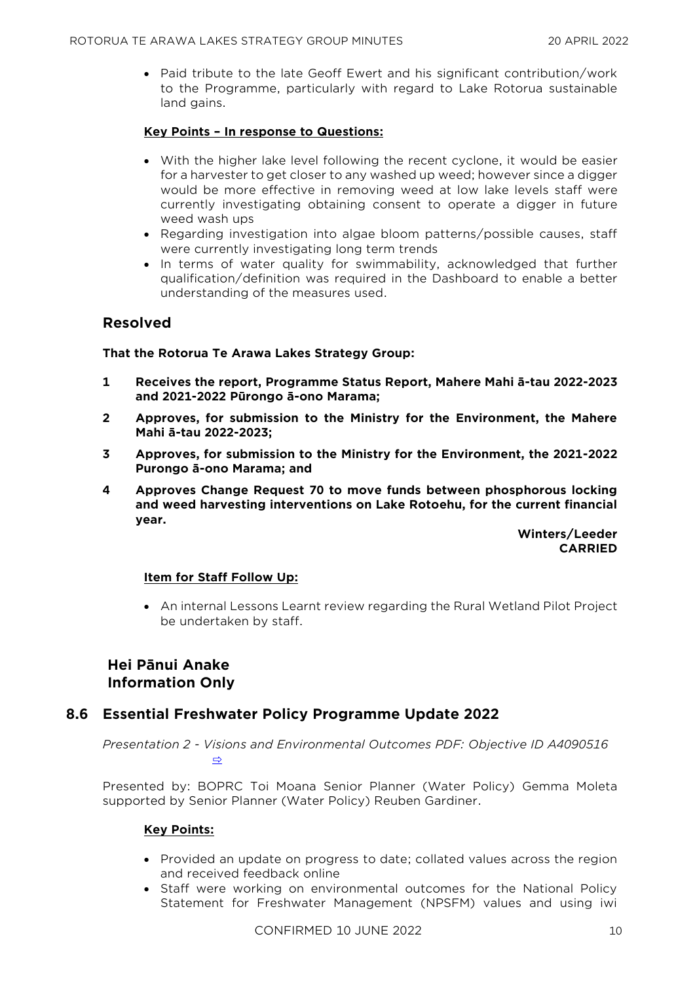• Paid tribute to the late Geoff Ewert and his significant contribution/work to the Programme, particularly with regard to Lake Rotorua sustainable land gains.

## **Key Points – In response to Questions:**

- With the higher lake level following the recent cyclone, it would be easier for a harvester to get closer to any washed up weed; however since a digger would be more effective in removing weed at low lake levels staff were currently investigating obtaining consent to operate a digger in future weed wash ups
- Regarding investigation into algae bloom patterns/possible causes, staff were currently investigating long term trends
- In terms of water quality for swimmability, acknowledged that further qualification/definition was required in the Dashboard to enable a better understanding of the measures used.

## **Resolved**

### **That the Rotorua Te Arawa Lakes Strategy Group:**

- **1 Receives the report, Programme Status Report, Mahere Mahi ā-tau 2022-2023 and 2021-2022 Pūrongo ā-ono Marama;**
- **2 Approves, for submission to the Ministry for the Environment, the Mahere Mahi ā-tau 2022-2023;**
- **3 Approves, for submission to the Ministry for the Environment, the 2021-2022 Purongo ā-ono Marama; and**
- **4 Approves Change Request 70 to move funds between phosphorous locking and weed harvesting interventions on Lake Rotoehu, for the current financial year.**

**Winters/Leeder CARRIED**

#### **Item for Staff Follow Up:**

• An internal Lessons Learnt review regarding the Rural Wetland Pilot Project be undertaken by staff.

## **Hei Pānui Anake Information Only**

## **8.6 Essential Freshwater Policy Programme Update 2022**

*Presentation 2 - Visions and Environmental Outcomes PDF: Objective ID A4090516*  [⇨](../../../RedirectToInvalidFileName.aspx?FileName=RTAL_20220420_MAT_3539.PDF#PAGE=16)

Presented by: BOPRC Toi Moana Senior Planner (Water Policy) Gemma Moleta supported by Senior Planner (Water Policy) Reuben Gardiner.

## **Key Points:**

- Provided an update on progress to date; collated values across the region and received feedback online
- Staff were working on environmental outcomes for the National Policy Statement for Freshwater Management (NPSFM) values and using iwi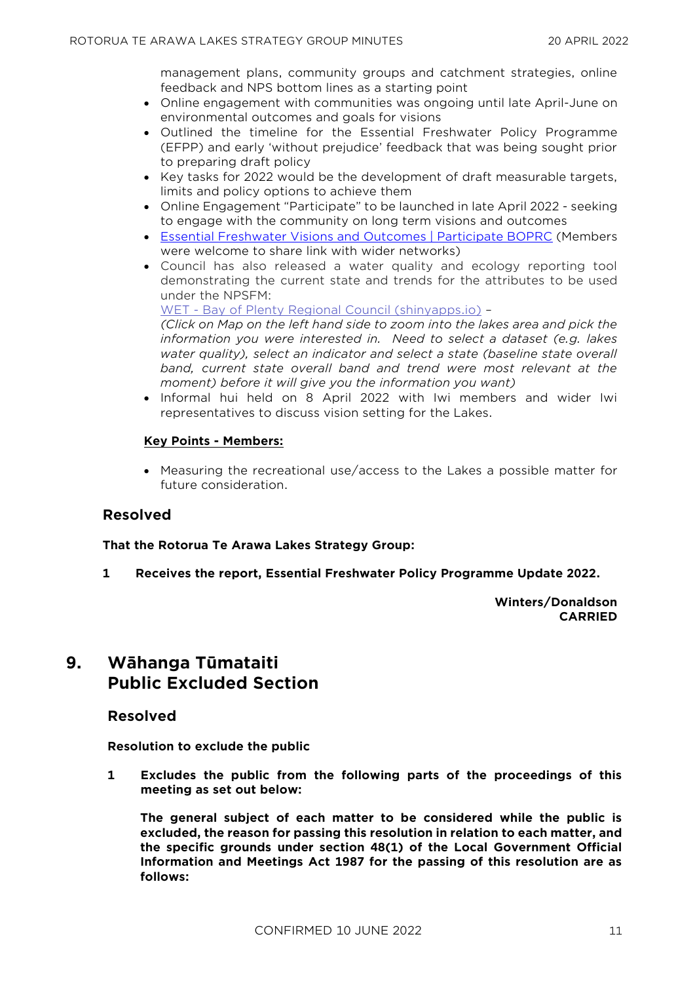management plans, community groups and catchment strategies, online feedback and NPS bottom lines as a starting point

- Online engagement with communities was ongoing until late April-June on environmental outcomes and goals for visions
- Outlined the timeline for the Essential Freshwater Policy Programme (EFPP) and early 'without prejudice' feedback that was being sought prior to preparing draft policy
- Key tasks for 2022 would be the development of draft measurable targets, limits and policy options to achieve them
- Online Engagement "Participate" to be launched in late April 2022 seeking to engage with the community on long term visions and outcomes
- [Essential Freshwater Visions and Outcomes | Participate BOPRC](https://www.participate.boprc.govt.nz/vision-and-outcomes) (Members were welcome to share link with wider networks)
- Council has also released a water quality and ecology reporting tool demonstrating the current state and trends for the attributes to be used under the NPSFM:

WET - [Bay of Plenty Regional Council \(shinyapps.io\)](https://jdboprcscience.shinyapps.io/NPSFM_App/) – *(Click on Map on the left hand side to zoom into the lakes area and pick the*

*information you were interested in. Need to select a dataset (e.g. lakes water quality), select an indicator and select a state (baseline state overall band, current state overall band and trend were most relevant at the moment) before it will give you the information you want)*

• Informal hui held on 8 April 2022 with Iwi members and wider Iwi representatives to discuss vision setting for the Lakes.

### **Key Points - Members:**

• Measuring the recreational use/access to the Lakes a possible matter for future consideration.

## **Resolved**

**That the Rotorua Te Arawa Lakes Strategy Group:**

**1 Receives the report, Essential Freshwater Policy Programme Update 2022.**

#### **Winters/Donaldson CARRIED**

# **9. Wāhanga Tūmataiti Public Excluded Section**

## **Resolved**

**Resolution to exclude the public**

**1 Excludes the public from the following parts of the proceedings of this meeting as set out below:**

**The general subject of each matter to be considered while the public is excluded, the reason for passing this resolution in relation to each matter, and the specific grounds under section 48(1) of the Local Government Official Information and Meetings Act 1987 for the passing of this resolution are as follows:**